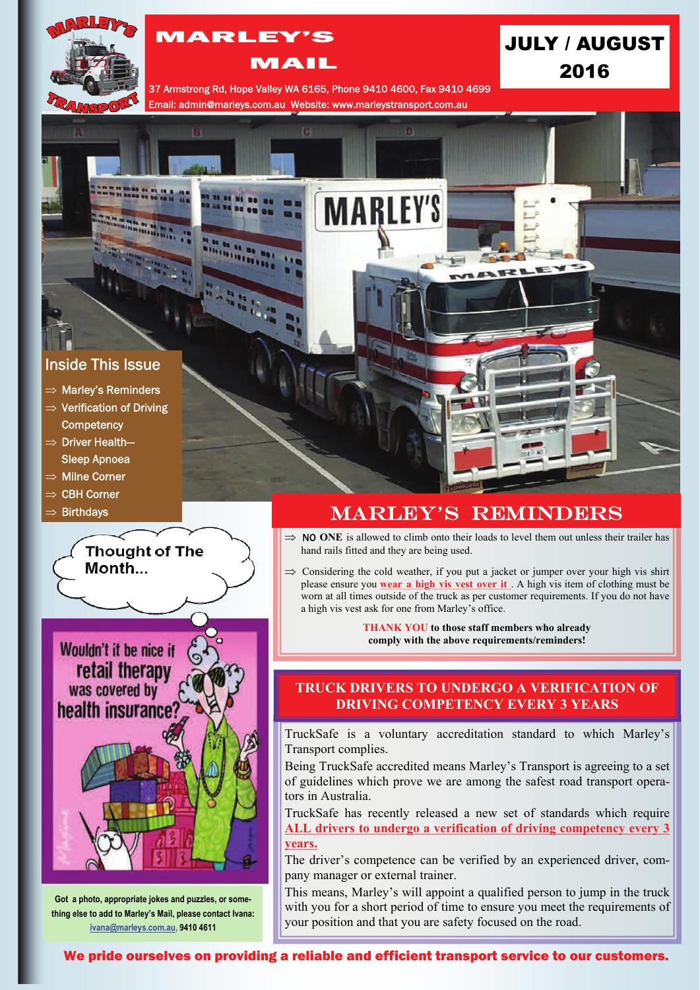

# MARLEY'S

### MAIL

JULY / AUGUST 2016

37 Armstrong Rd, Hope Valley WA 6165, Phone 9410 4600, Fax 9410 4699 Email: admin@marleys.com.au Website: www.marleystransport.com.au

m

**In** 

**MARLEY'S** 

## Inside This Issue

- $\Rightarrow$  Marley's Reminders
- $\Rightarrow$  Verification of Driving
- **Competency**  $\Rightarrow$  Driver Health-
- Sleep Apnoea
- $\Rightarrow$  Milne Corner
- $\Rightarrow$  CBH Corner
- **Birthdays**



**Got a photo, appropriate jokes and puzzles, or something else to add to Marley's Mail, please contact Ivana: [ivana@marleys.com.au,](mailto:ivana@marleys.com.au) 9410 4611**

# MARLEY'S REMINDERS

- $\Rightarrow$  **NO ONE** is allowed to climb onto their loads to level them out unless their trailer has hand rails fitted and they are being used.
- $\Rightarrow$  Considering the cold weather, if you put a jacket or jumper over your high vis shirt please ensure you **wear a high vis vest over it** . A high vis item of clothing must be worn at all times outside of the truck as per customer requirements. If you do not have a high vis vest ask for one from Marley's office.

**THANK YOU to those staff members who already comply with the above requirements/reminders!**

### **TRUCK DRIVERS TO UNDERGO A VERIFICATION OF DRIVING COMPETENCY EVERY 3 YEARS**

TruckSafe is a voluntary accreditation standard to which Marley's Transport complies.

Being TruckSafe accredited means Marley's Transport is agreeing to a set of guidelines which prove we are among the safest road transport operators in Australia.

TruckSafe has recently released a new set of standards which require **ALL drivers to undergo a verification of driving competency every 3 years.** 

The driver's competence can be verified by an experienced driver, company manager or external trainer.

This means, Marley's will appoint a qualified person to jump in the truck with you for a short period of time to ensure you meet the requirements of your position and that you are safety focused on the road.